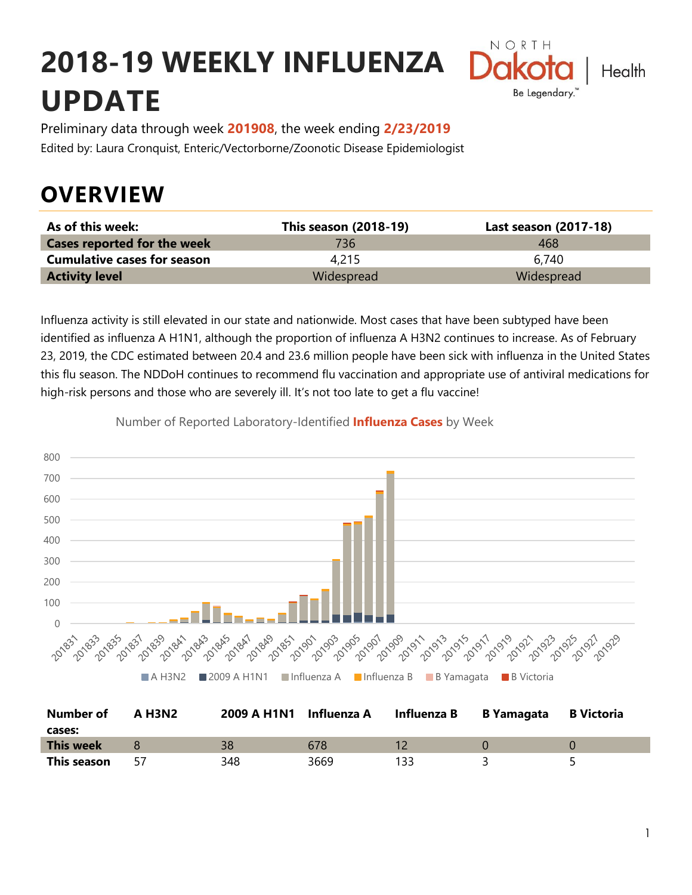# **2018-19 WEEKLY INFLUENZA UPDATE**



Preliminary data through week **201908**, the week ending **2/23/2019** Edited by: Laura Cronquist, Enteric/Vectorborne/Zoonotic Disease Epidemiologist

### **OVERVIEW**

| As of this week:                   | <b>This season (2018-19)</b> | Last season (2017-18) |
|------------------------------------|------------------------------|-----------------------|
| <b>Cases reported for the week</b> | 736.                         | 468                   |
| <b>Cumulative cases for season</b> | 4.215                        | 6.740                 |
| <b>Activity level</b>              | Widespread                   | Widespread            |

Influenza activity is still elevated in our state and nationwide. Most cases that have been subtyped have been identified as influenza A H1N1, although the proportion of influenza A H3N2 continues to increase. As of February 23, 2019, the CDC estimated between 20.4 and 23.6 million people have been sick with influenza in the United States this flu season. The NDDoH continues to recommend flu vaccination and appropriate use of antiviral medications for high-risk persons and those who are severely ill. It's not too late to get a flu vaccine!



Number of Reported Laboratory-Identified **Influenza Cases** by Week

| Number of        | A H3N2 | 2009 A H1N1 Influenza A |      | Influenza B | <b>B Yamagata</b> | <b>B</b> Victoria |
|------------------|--------|-------------------------|------|-------------|-------------------|-------------------|
| cases:           |        |                         |      |             |                   |                   |
| <b>This week</b> |        | 38                      | 678  |             |                   |                   |
| This season      |        | 348                     | 3669 |             |                   |                   |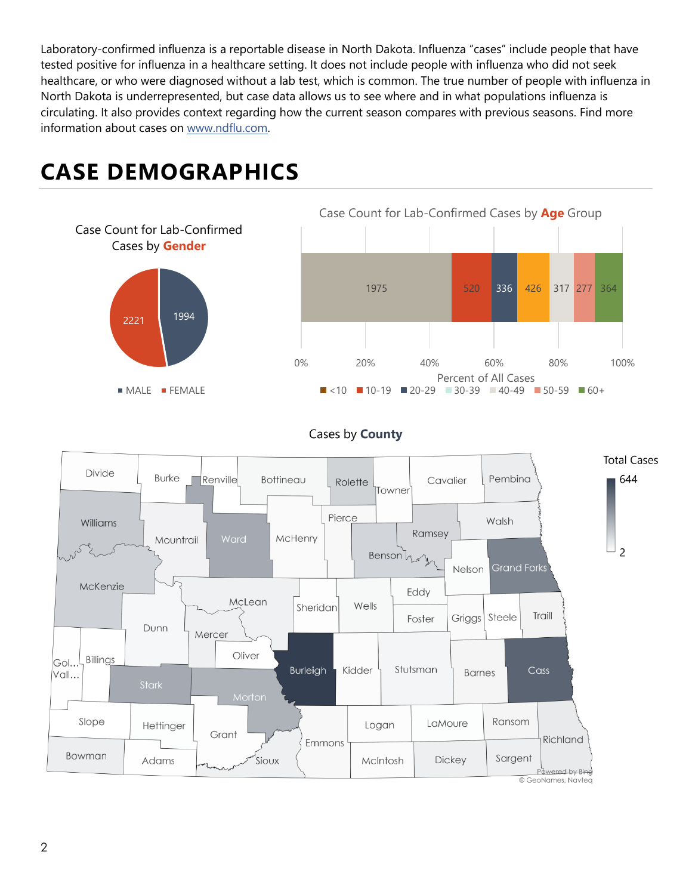Laboratory-confirmed influenza is a reportable disease in North Dakota. Influenza "cases" include people that have tested positive for influenza in a healthcare setting. It does not include people with influenza who did not seek healthcare, or who were diagnosed without a lab test, which is common. The true number of people with influenza in North Dakota is underrepresented, but case data allows us to see where and in what populations influenza is circulating. It also provides context regarding how the current season compares with previous seasons. Find more information about cases on [www.ndflu.com.](file://///nd.gov/doh/DOH-DATA/MSS/DC/PROGRAM/IMMUNE/Immunize/Influenza/Inf18-19/Surveillance/Weekly%20Summaries/www.ndflu.com)

## **CASE DEMOGRAPHICS**





#### Cases by County

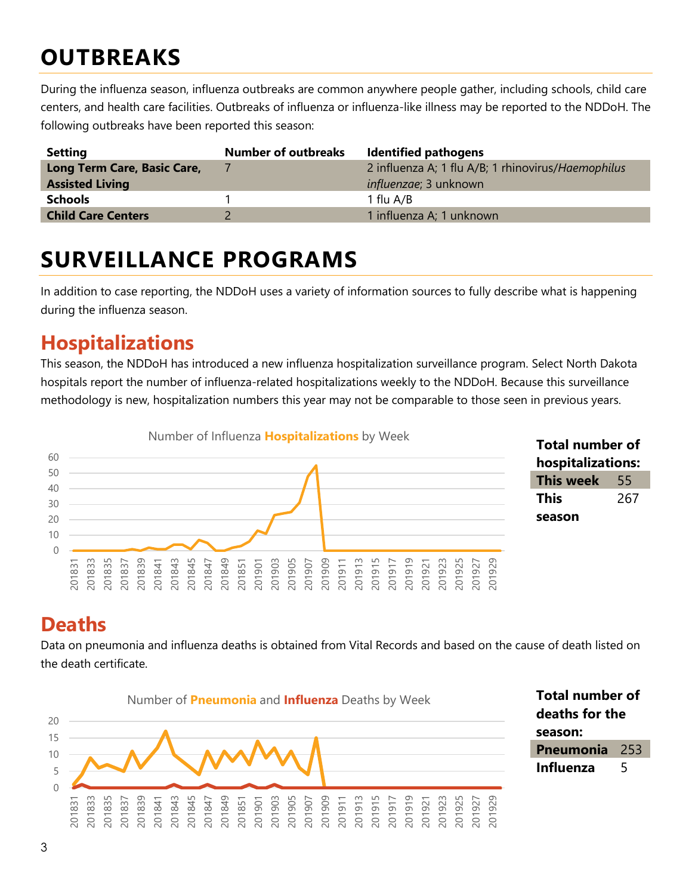## **OUTBREAKS**

During the influenza season, influenza outbreaks are common anywhere people gather, including schools, child care centers, and health care facilities. Outbreaks of influenza or influenza-like illness may be reported to the NDDoH. The following outbreaks have been reported this season:

| <b>Setting</b>              | <b>Number of outbreaks</b> | <b>Identified pathogens</b>                        |
|-----------------------------|----------------------------|----------------------------------------------------|
| Long Term Care, Basic Care, |                            | 2 influenza A; 1 flu A/B; 1 rhinovirus/Haemophilus |
| <b>Assisted Living</b>      |                            | <i>influenzae</i> ; 3 unknown                      |
| <b>Schools</b>              |                            | 1 flu A/B                                          |
| <b>Child Care Centers</b>   |                            | 1 influenza A; 1 unknown                           |

### **SURVEILLANCE PROGRAMS**

In addition to case reporting, the NDDoH uses a variety of information sources to fully describe what is happening during the influenza season.

#### **Hospitalizations**

This season, the NDDoH has introduced a new influenza hospitalization surveillance program. Select North Dakota hospitals report the number of influenza-related hospitalizations weekly to the NDDoH. Because this surveillance methodology is new, hospitalization numbers this year may not be comparable to those seen in previous years.



#### **Total number of hospitalizations: This week** 55 **This season**

#### **Deaths**

Data on pneumonia and influenza deaths is obtained from Vital Records and based on the cause of death listed on the death certificate.



**Total number of deaths for the season: Pneumonia** 253 **Influenza** 5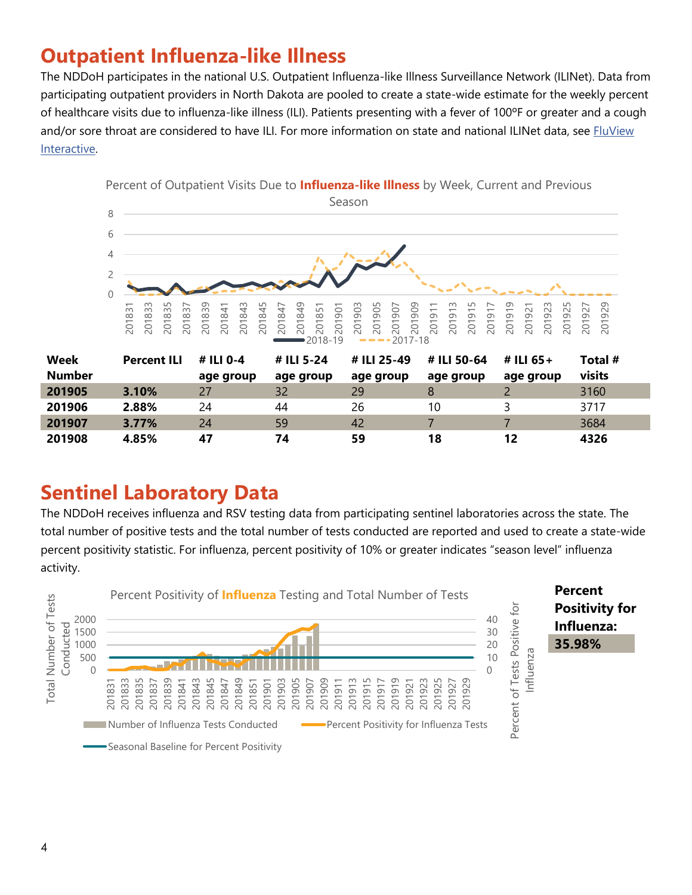### **Outpatient Influenza-like Illness**

The NDDoH participates in the national U.S. Outpatient Influenza-like Illness Surveillance Network (ILINet). Data from participating outpatient providers in North Dakota are pooled to create a state-wide estimate for the weekly percent of healthcare visits due to influenza-like illness (ILI). Patients presenting with a fever of 100ºF or greater and a cough and/or sore throat are considered to have ILI. For more information on state and national ILINet data, see FluView [Interactive.](https://gis.cdc.gov/grasp/fluview/fluportaldashboard.html)



| Number |       | age group | age group | age group | age group | age group | visits |
|--------|-------|-----------|-----------|-----------|-----------|-----------|--------|
| 201905 | 3.10% | 27        | 32        | 29        |           |           | 3160   |
| 201906 | 2.88% | 24        | 44        | 26        | 10        |           | 3717   |
| 201907 | 3.77% | 24        | 59        | 42        |           |           | 3684   |
| 201908 | 4.85% |           | 74        | 59        | 18        | 12        | 4326   |

### **Sentinel Laboratory Data**

The NDDoH receives influenza and RSV testing data from participating sentinel laboratories across the state. The total number of positive tests and the total number of tests conducted are reported and used to create a state-wide percent positivity statistic. For influenza, percent positivity of 10% or greater indicates "season level" influenza activity.



**Week**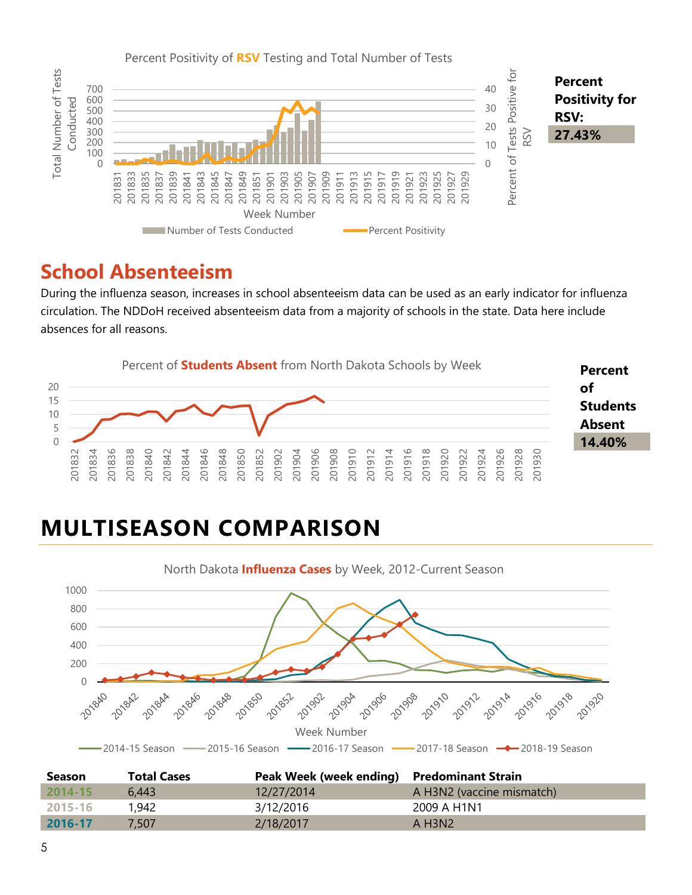

#### **School Absenteeism**

During the influenza season, increases in school absenteeism data can be used as an early indicator for influenza circulation. The NDDoH received absenteeism data from a majority of schools in the state. Data here include absences for all reasons.



## **MULTISEASON COMPARISON**



| <b>Season</b> | <b>Total Cases</b> | Peak Week (week ending) Predominant Strain |                           |
|---------------|--------------------|--------------------------------------------|---------------------------|
| $2014 - 15$   | 6.443              | 12/27/2014                                 | A H3N2 (vaccine mismatch) |
| 2015-16       | 1,942              | 3/12/2016                                  | 2009 A H1N1               |
| 2016-17       | 7.507              | 2/18/2017                                  | A H3N2                    |